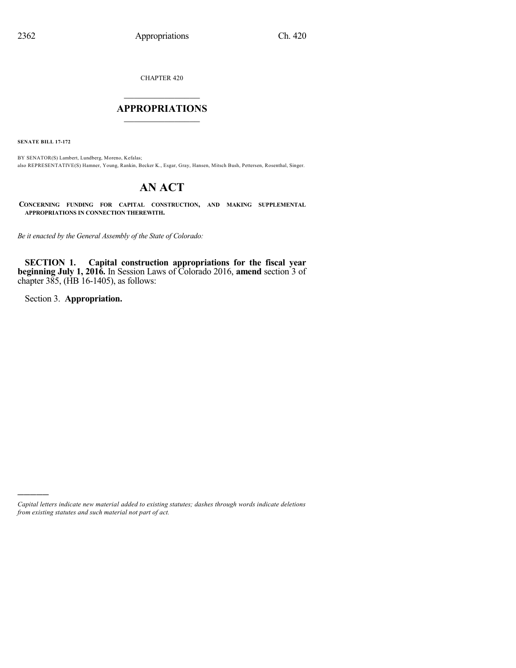CHAPTER 420

# $\overline{\phantom{a}}$  . The set of the set of the set of the set of the set of the set of the set of the set of the set of the set of the set of the set of the set of the set of the set of the set of the set of the set of the set o **APPROPRIATIONS**  $\_$   $\_$   $\_$   $\_$   $\_$   $\_$   $\_$   $\_$

**SENATE BILL 17-172**

BY SENATOR(S) Lambert, Lundberg, Moreno, Kefalas; also REPRESENTATIVE(S) Hamner, Young, Rankin, Becker K., Esgar, Gray, Hansen, Mitsch Bush, Pettersen, Rosenthal, Singer.

# **AN ACT**

**CONCERNING FUNDING FOR CAPITAL CONSTRUCTION, AND MAKING SUPPLEMENTAL APPROPRIATIONS IN CONNECTION THEREWITH.**

*Be it enacted by the General Assembly of the State of Colorado:*

**SECTION 1. Capital construction appropriations for the fiscal year beginning July 1, 2016.** In Session Laws of Colorado 2016, **amend** section 3 of chapter 385, (HB 16-1405), as follows:

Section 3. **Appropriation.**

)))))

*Capital letters indicate new material added to existing statutes; dashes through words indicate deletions from existing statutes and such material not part of act.*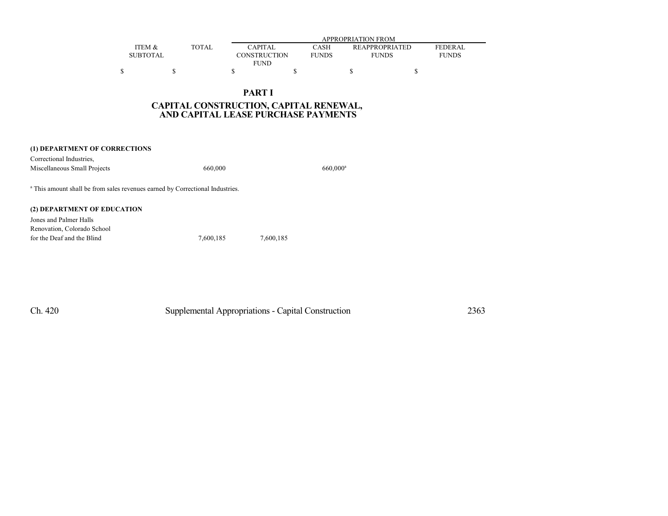|                   |              | APPROPRIATION FROM |              |                       |                |  |  |  |
|-------------------|--------------|--------------------|--------------|-----------------------|----------------|--|--|--|
| <b>ITEM &amp;</b> | <b>TOTAL</b> | <b>CAPITAL</b>     | CASH         | <b>REAPPROPRIATED</b> | <b>FEDERAL</b> |  |  |  |
| SUBTOTAL          |              | CONSTRUCTION       | <b>FUNDS</b> | <b>FUNDS</b>          | <b>FUNDS</b>   |  |  |  |
|                   |              | <b>FUND</b>        |              |                       |                |  |  |  |
|                   |              |                    |              |                       |                |  |  |  |

# **PART I CAPITAL CONSTRUCTION, CAPITAL RENEWAL, AND CAPITAL LEASE PURCHASE PAYMENTS**

| (1) DEPARTMENT OF CORRECTIONS                                                            |         |             |
|------------------------------------------------------------------------------------------|---------|-------------|
| Correctional Industries.                                                                 |         |             |
| Miscellaneous Small Projects                                                             | 660,000 | $660,000^a$ |
| <sup>a</sup> This amount shall be from sales revenues earned by Correctional Industries. |         |             |
| (2) DEPARTMENT OF EDUCATION                                                              |         |             |

| Jones and Palmer Halls      |           |           |
|-----------------------------|-----------|-----------|
| Renovation. Colorado School |           |           |
| for the Deaf and the Blind  | 7.600.185 | 7.600.185 |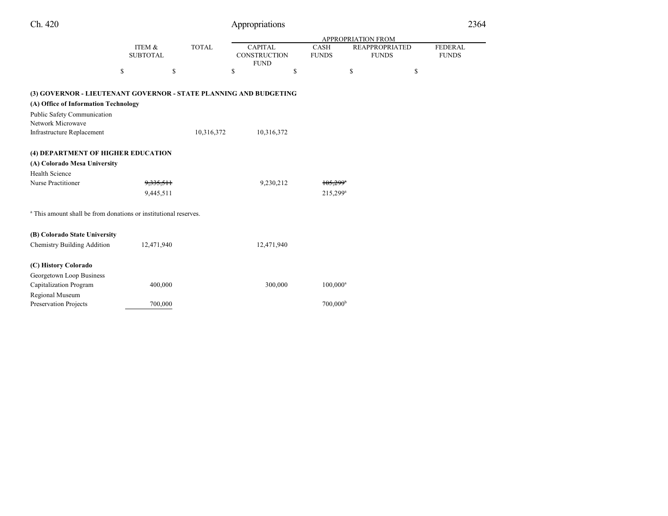| Ch. 420                                                                                                                                                       |                           |              | Appropriations                                       |                        |                                                             |    | 2364                           |
|---------------------------------------------------------------------------------------------------------------------------------------------------------------|---------------------------|--------------|------------------------------------------------------|------------------------|-------------------------------------------------------------|----|--------------------------------|
|                                                                                                                                                               |                           |              |                                                      |                        |                                                             |    |                                |
|                                                                                                                                                               | ITEM &<br><b>SUBTOTAL</b> | <b>TOTAL</b> | <b>CAPITAL</b><br><b>CONSTRUCTION</b><br><b>FUND</b> | CASH<br><b>FUNDS</b>   | APPROPRIATION FROM<br><b>REAPPROPRIATED</b><br><b>FUNDS</b> |    | <b>FEDERAL</b><br><b>FUNDS</b> |
| \$                                                                                                                                                            | \$                        |              | \$                                                   | \$                     | \$                                                          | \$ |                                |
| (3) GOVERNOR - LIEUTENANT GOVERNOR - STATE PLANNING AND BUDGETING<br>(A) Office of Information Technology<br>Public Safety Communication<br>Network Microwave |                           |              |                                                      |                        |                                                             |    |                                |
| Infrastructure Replacement                                                                                                                                    |                           | 10,316,372   | 10,316,372                                           |                        |                                                             |    |                                |
| (4) DEPARTMENT OF HIGHER EDUCATION<br>(A) Colorado Mesa University<br><b>Health Science</b><br>Nurse Practitioner                                             | 9,335,511                 |              | 9,230,212                                            | $105,299$ <sup>*</sup> |                                                             |    |                                |
|                                                                                                                                                               | 9,445,511                 |              |                                                      | $215,299^{\rm a}$      |                                                             |    |                                |
| <sup>a</sup> This amount shall be from donations or institutional reserves.                                                                                   |                           |              |                                                      |                        |                                                             |    |                                |
| (B) Colorado State University<br><b>Chemistry Building Addition</b>                                                                                           | 12,471,940                |              | 12,471,940                                           |                        |                                                             |    |                                |
| (C) History Colorado                                                                                                                                          |                           |              |                                                      |                        |                                                             |    |                                |
| Georgetown Loop Business<br>Capitalization Program<br>Regional Museum                                                                                         | 400,000                   |              | 300,000                                              | $100,000^{\rm a}$      |                                                             |    |                                |
| Preservation Projects                                                                                                                                         | 700,000                   |              |                                                      | 700,000 <sup>b</sup>   |                                                             |    |                                |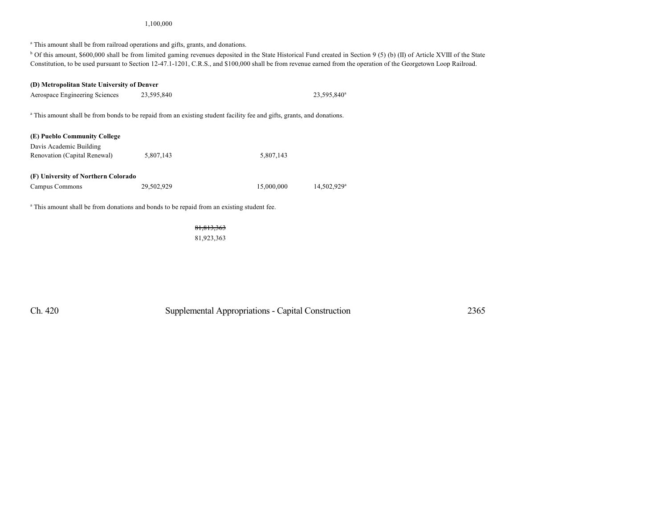#### 1,100,000

<sup>a</sup> This amount shall be from railroad operations and gifts, grants, and donations.

<sup>b</sup> Of this amount, \$600,000 shall be from limited gaming revenues deposited in the State Historical Fund created in Section 9 (5) (b) (II) of Article XVIII of the State Constitution, to be used pursuant to Section 12-47.1-1201, C.R.S., and \$100,000 shall be from revenue earned from the operation of the Georgetown Loop Railroad.

23,595,840<sup>a</sup>

14,502,929<sup>a</sup>

# **(D) Metropolitan State University of Denver** Aerospace Engineering Sciences 23,595,840 23,595,840 <sup>a</sup> This amount shall be from bonds to be repaid from an existing student facility fee and gifts, grants, and donations. **(E) Pueblo Community College** Davis Academic Building Renovation (Capital Renewal) 5,807,143 5,807,143 **(F) University of Northern Colorado** Campus Commons 29,502,929 15,000,000

<sup>a</sup> This amount shall be from donations and bonds to be repaid from an existing student fee.

#### 81,813,363

81,923,363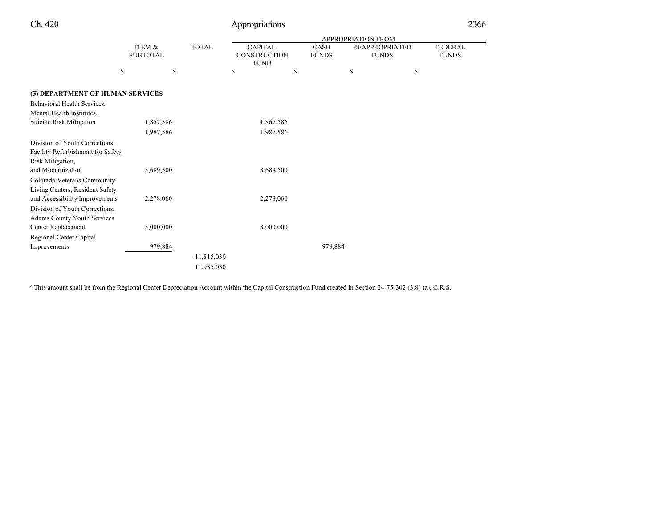| Ch. 420                            |                           |              | Appropriations                                       |    |                      |                                       | 2366                           |
|------------------------------------|---------------------------|--------------|------------------------------------------------------|----|----------------------|---------------------------------------|--------------------------------|
|                                    |                           |              | <b>APPROPRIATION FROM</b>                            |    |                      |                                       |                                |
|                                    | ITEM &<br><b>SUBTOTAL</b> | <b>TOTAL</b> | <b>CAPITAL</b><br><b>CONSTRUCTION</b><br><b>FUND</b> |    | CASH<br><b>FUNDS</b> | <b>REAPPROPRIATED</b><br><b>FUNDS</b> | <b>FEDERAL</b><br><b>FUNDS</b> |
|                                    | \$<br>\$                  |              | \$                                                   | \$ | \$                   | \$                                    |                                |
| (5) DEPARTMENT OF HUMAN SERVICES   |                           |              |                                                      |    |                      |                                       |                                |
| Behavioral Health Services,        |                           |              |                                                      |    |                      |                                       |                                |
| Mental Health Institutes,          |                           |              |                                                      |    |                      |                                       |                                |
| Suicide Risk Mitigation            | 1,867,586                 |              | 1,867,586                                            |    |                      |                                       |                                |
|                                    | 1,987,586                 |              | 1,987,586                                            |    |                      |                                       |                                |
| Division of Youth Corrections,     |                           |              |                                                      |    |                      |                                       |                                |
| Facility Refurbishment for Safety, |                           |              |                                                      |    |                      |                                       |                                |
| Risk Mitigation,                   |                           |              |                                                      |    |                      |                                       |                                |
| and Modernization                  | 3,689,500                 |              | 3,689,500                                            |    |                      |                                       |                                |
| Colorado Veterans Community        |                           |              |                                                      |    |                      |                                       |                                |
| Living Centers, Resident Safety    |                           |              |                                                      |    |                      |                                       |                                |
| and Accessibility Improvements     | 2,278,060                 |              | 2,278,060                                            |    |                      |                                       |                                |
| Division of Youth Corrections,     |                           |              |                                                      |    |                      |                                       |                                |
| Adams County Youth Services        |                           |              |                                                      |    |                      |                                       |                                |
| Center Replacement                 | 3,000,000                 |              | 3,000,000                                            |    |                      |                                       |                                |
| Regional Center Capital            |                           |              |                                                      |    |                      |                                       |                                |
| Improvements                       | 979,884                   |              |                                                      |    | 979,884 <sup>a</sup> |                                       |                                |
|                                    |                           | 11,815,030   |                                                      |    |                      |                                       |                                |
|                                    |                           | 11,935,030   |                                                      |    |                      |                                       |                                |

<sup>a</sup> This amount shall be from the Regional Center Depreciation Account within the Capital Construction Fund created in Section 24-75-302 (3.8) (a), C.R.S.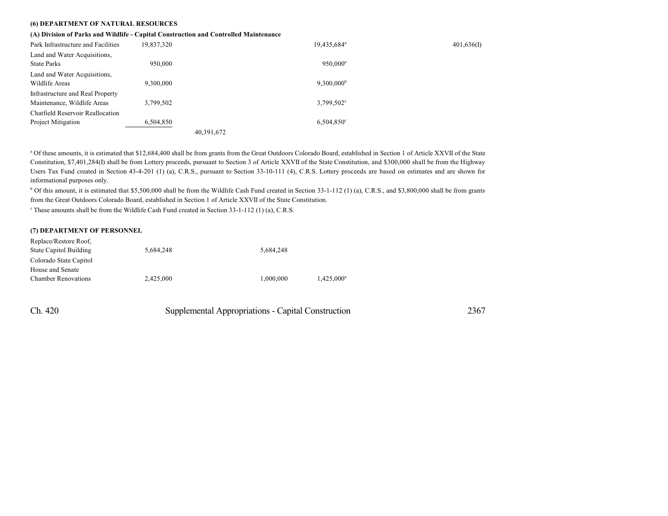#### **(6) DEPARTMENT OF NATURAL RESOURCES**

#### **(A) Division of Parks and Wildlife - Capital Construction and Controlled Maintenance**

| Park Infrastructure and Facilities | 19,837,320 | 19,435,684 <sup>a</sup> | 401,636(I) |
|------------------------------------|------------|-------------------------|------------|
| Land and Water Acquisitions,       |            |                         |            |
| <b>State Parks</b>                 | 950,000    | $950.000^a$             |            |
| Land and Water Acquisitions,       |            |                         |            |
| Wildlife Areas                     | 9.300.000  | $9,300,000^{\rm b}$     |            |
| Infrastructure and Real Property   |            |                         |            |
| Maintenance, Wildlife Areas        | 3.799.502  | $3,799,502^{\circ}$     |            |
| Chatfield Reservoir Reallocation   |            |                         |            |
| Project Mitigation                 | 6,504,850  | $6,504,850^{\circ}$     |            |
|                                    |            | 40,391,672              |            |

<sup>a</sup> Of these amounts, it is estimated that \$12,684,400 shall be from grants from the Great Outdoors Colorado Board, established in Section 1 of Article XXVII of the State Constitution, \$7,401,284(I) shall be from Lottery proceeds, pursuant to Section 3 of Article XXVII of the State Constitution, and \$300,000 shall be from the Highway Users Tax Fund created in Section 43-4-201 (1) (a), C.R.S., pursuant to Section 33-10-111 (4), C.R.S. Lottery proceeds are based on estimates and are shown for informational purposes only.

 $b$  Of this amount, it is estimated that \$5,500,000 shall be from the Wildlife Cash Fund created in Section 33-1-112 (1) (a), C.R.S., and \$3,800,000 shall be from grants from the Great Outdoors Colorado Board, established in Section 1 of Article XXVII of the State Constitution.

<sup>c</sup> These amounts shall be from the Wildlife Cash Fund created in Section 33-1-112 (1) (a), C.R.S.

#### **(7) DEPARTMENT OF PERSONNEL**

| Replace/Restore Roof.      |           |           |               |
|----------------------------|-----------|-----------|---------------|
| State Capitol Building     | 5.684.248 | 5.684.248 |               |
| Colorado State Capitol     |           |           |               |
| House and Senate           |           |           |               |
| <b>Chamber Renovations</b> | 2.425,000 | 1.000.000 | $1.425.000^a$ |

| Ch. 420 | Supplemental Appropriations - Capital Construction | 2367 |
|---------|----------------------------------------------------|------|
|---------|----------------------------------------------------|------|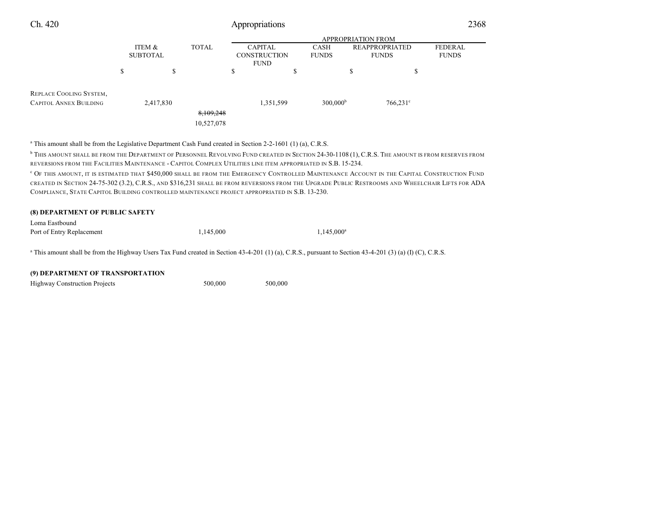| Ch. 420                                                  | Appropriations            |                    |                         |                                       |                      |                                       | 2368                           |  |
|----------------------------------------------------------|---------------------------|--------------------|-------------------------|---------------------------------------|----------------------|---------------------------------------|--------------------------------|--|
|                                                          |                           | APPROPRIATION FROM |                         |                                       |                      |                                       |                                |  |
|                                                          | ITEM &<br><b>SUBTOTAL</b> |                    | <b>TOTAL</b>            | <b>CAPITAL</b><br><b>CONSTRUCTION</b> | CASH<br><b>FUNDS</b> | <b>REAPPROPRIATED</b><br><b>FUNDS</b> | <b>FEDERAL</b><br><b>FUNDS</b> |  |
|                                                          |                           |                    |                         | <b>FUND</b>                           |                      |                                       |                                |  |
|                                                          | S                         | \$                 |                         | \$                                    | ¢<br>ъ               | J.                                    | \$                             |  |
| REPLACE COOLING SYSTEM,<br><b>CAPITOL ANNEX BUILDING</b> |                           | 2,417,830          |                         | 1,351,599                             | 300,000 <sup>b</sup> | $766,231^{\circ}$                     |                                |  |
|                                                          |                           |                    | 8,109,248<br>10,527,078 |                                       |                      |                                       |                                |  |

a This amount shall be from the Legislative Department Cash Fund created in Section 2-2-1601 (1) (a), C.R.S.

<sup>b</sup> This amount shall be from the Department of Personnel Revolving Fund created in Section 24-30-1108 (1), C.R.S. The amount is from reserves from REVERSIONS FROM THE FACILITIES MAINTENANCE - CAPITOL COMPLEX UTILITIES LINE ITEM APPROPRIATED IN S.B. 15-234.

<sup>c</sup> O<sup>F</sup> THIS AMOUNT, IT IS ESTIMATED THAT \$450,000 SHALL BE FROM THE EMERGENCY CONTROLLED MAINTENANCE ACCOUNT IN THE CAPITAL CONSTRUCTION FUND CREATED IN SECTION 24-75-302 (3.2), C.R.S., AND \$316,231 SHALL BE FROM REVERSIONS FROM THE UPGRADE PUBLIC RESTROOMS AND WHEELCHAIR LIFTS FOR ADA COMPLIANCE, STATE CAPITOL BUILDING CONTROLLED MAINTENANCE PROJECT APPROPRIATED IN S.B. 13-230.

| <b>(8) DEPARTMENT OF PUBLIC SAFETY</b> |           |               |  |
|----------------------------------------|-----------|---------------|--|
| Loma Eastbound                         |           |               |  |
| Port of Entry Replacement              | 1.145.000 | $1.145.000^a$ |  |
| $\sim$ $ \sim$<br>--                   |           |               |  |

<sup>a</sup> This amount shall be from the Highway Users Tax Fund created in Section 43-4-201 (1) (a), C.R.S., pursuant to Section 43-4-201 (3) (a) (I) (C), C.R.S.

Highway Construction Projects 500,000 500,000 500,000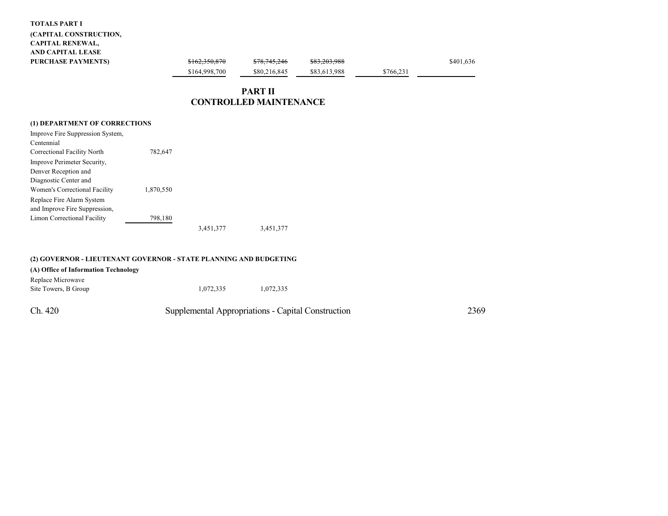#### **TOTALS PART I**

### **(CAPITAL CONSTRUCTION, CAPITAL RENEWAL, AND CAPITAL LEASE PURCHASE PAYMENTS)**

| <del>\$162,350,870</del> | <del>\$78,745,246</del> | <del>\$83,203,988</del> |           | \$401,636 |
|--------------------------|-------------------------|-------------------------|-----------|-----------|
| \$164,998,700            | \$80,216,845            | \$83,613,988            | \$766.231 |           |
|                          |                         |                         |           |           |

# **PART II CONTROLLED MAINTENANCE**

### **(1) DEPARTMENT OF CORRECTIONS**

| Improve Fire Suppression System, |           |           |           |
|----------------------------------|-----------|-----------|-----------|
| Centennial                       |           |           |           |
| Correctional Facility North      | 782.647   |           |           |
| Improve Perimeter Security,      |           |           |           |
| Denver Reception and             |           |           |           |
| Diagnostic Center and            |           |           |           |
| Women's Correctional Facility    | 1,870,550 |           |           |
| Replace Fire Alarm System        |           |           |           |
| and Improve Fire Suppression,    |           |           |           |
| Limon Correctional Facility      | 798,180   |           |           |
|                                  |           | 3,451,377 | 3,451,377 |

|                                           | (2) GOVERNOR - LIEUTENANT GOVERNOR - STATE PLANNING AND BUDGETING |                                                    |      |
|-------------------------------------------|-------------------------------------------------------------------|----------------------------------------------------|------|
| (A) Office of Information Technology      |                                                                   |                                                    |      |
| Replace Microwave<br>Site Towers, B Group | 1.072.335                                                         | 1.072.335                                          |      |
| Ch. 420                                   |                                                                   | Supplemental Appropriations - Capital Construction | 2369 |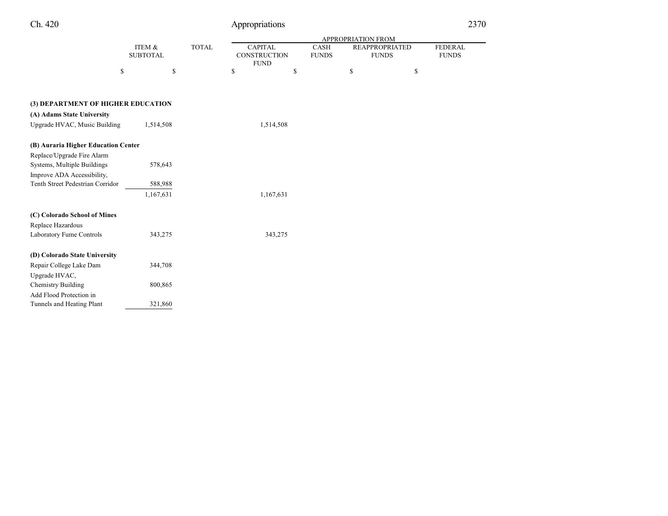| " |
|---|
|   |

# Appropriations 2370

FEDERAL **FUNDS** 

|                                     |                           |              |                                               |           |                             | <b>APPROPRIATION FROM</b>             |    |
|-------------------------------------|---------------------------|--------------|-----------------------------------------------|-----------|-----------------------------|---------------------------------------|----|
|                                     | ITEM &<br><b>SUBTOTAL</b> | <b>TOTAL</b> | <b>CAPITAL</b><br>CONSTRUCTION<br><b>FUND</b> |           | <b>CASH</b><br><b>FUNDS</b> | <b>REAPPROPRIATED</b><br><b>FUNDS</b> |    |
| \$                                  | \$                        |              | \$                                            | \$        |                             | \$                                    | \$ |
|                                     |                           |              |                                               |           |                             |                                       |    |
| (3) DEPARTMENT OF HIGHER EDUCATION  |                           |              |                                               |           |                             |                                       |    |
| (A) Adams State University          |                           |              |                                               |           |                             |                                       |    |
| Upgrade HVAC, Music Building        | 1,514,508                 |              |                                               | 1,514,508 |                             |                                       |    |
| (B) Auraria Higher Education Center |                           |              |                                               |           |                             |                                       |    |
| Replace/Upgrade Fire Alarm          |                           |              |                                               |           |                             |                                       |    |
| Systems, Multiple Buildings         | 578,643                   |              |                                               |           |                             |                                       |    |
| Improve ADA Accessibility,          |                           |              |                                               |           |                             |                                       |    |
| Tenth Street Pedestrian Corridor    | 588,988                   |              |                                               |           |                             |                                       |    |
|                                     | 1,167,631                 |              |                                               | 1,167,631 |                             |                                       |    |
| (C) Colorado School of Mines        |                           |              |                                               |           |                             |                                       |    |
| Replace Hazardous                   |                           |              |                                               |           |                             |                                       |    |
| Laboratory Fume Controls            | 343,275                   |              |                                               | 343,275   |                             |                                       |    |
| (D) Colorado State University       |                           |              |                                               |           |                             |                                       |    |
| Repair College Lake Dam             | 344,708                   |              |                                               |           |                             |                                       |    |
| Upgrade HVAC,                       |                           |              |                                               |           |                             |                                       |    |
| <b>Chemistry Building</b>           | 800,865                   |              |                                               |           |                             |                                       |    |
| Add Flood Protection in             |                           |              |                                               |           |                             |                                       |    |
| Tunnels and Heating Plant           | 321,860                   |              |                                               |           |                             |                                       |    |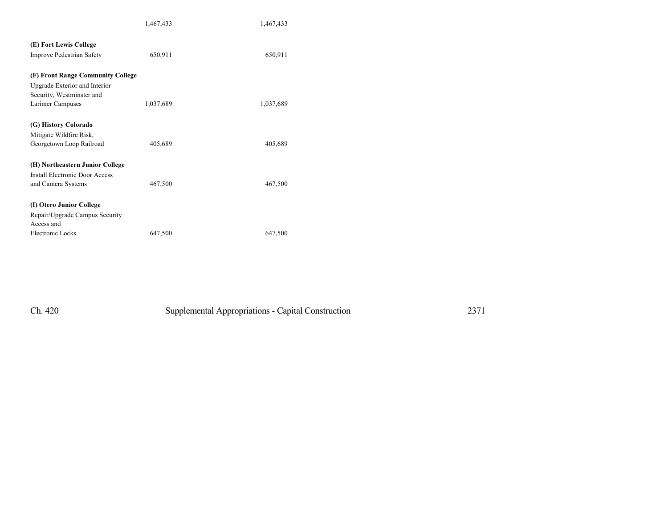|                                       | 1,467,433 | 1,467,433 |
|---------------------------------------|-----------|-----------|
| (E) Fort Lewis College                |           |           |
| <b>Improve Pedestrian Safety</b>      | 650,911   | 650,911   |
| (F) Front Range Community College     |           |           |
| Upgrade Exterior and Interior         |           |           |
| Security, Westminster and             |           |           |
| Larimer Campuses                      | 1,037,689 | 1,037,689 |
| (G) History Colorado                  |           |           |
| Mitigate Wildfire Risk,               |           |           |
| Georgetown Loop Railroad              | 405,689   | 405,689   |
| (H) Northeastern Junior College       |           |           |
| <b>Install Electronic Door Access</b> |           |           |
| and Camera Systems                    | 467,500   | 467,500   |
| (I) Otero Junior College              |           |           |
| Repair/Upgrade Campus Security        |           |           |
| Access and                            |           |           |
| Electronic Locks                      | 647,500   | 647,500   |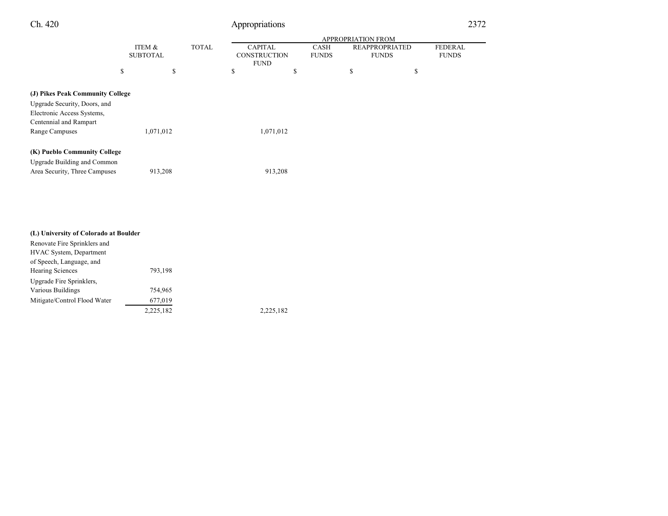|--|--|--|

# Appropriations 2372

÷.

|                                  |                 |           |              |                                    |              | <b>APPROPRIATION FROM</b> |                |
|----------------------------------|-----------------|-----------|--------------|------------------------------------|--------------|---------------------------|----------------|
|                                  | ITEM &          |           | <b>TOTAL</b> | <b>CAPITAL</b>                     | <b>CASH</b>  | <b>REAPPROPRIATED</b>     | <b>FEDERAL</b> |
|                                  | <b>SUBTOTAL</b> |           |              | <b>CONSTRUCTION</b><br><b>FUND</b> | <b>FUNDS</b> | <b>FUNDS</b>              | <b>FUNDS</b>   |
|                                  | S               | \$        |              | \$                                 | \$           | \$                        | \$             |
|                                  |                 |           |              |                                    |              |                           |                |
| (J) Pikes Peak Community College |                 |           |              |                                    |              |                           |                |
| Upgrade Security, Doors, and     |                 |           |              |                                    |              |                           |                |
| Electronic Access Systems,       |                 |           |              |                                    |              |                           |                |
| Centennial and Rampart           |                 |           |              |                                    |              |                           |                |
| Range Campuses                   |                 | 1,071,012 |              | 1,071,012                          |              |                           |                |
| (K) Pueblo Community College     |                 |           |              |                                    |              |                           |                |
| Upgrade Building and Common      |                 |           |              |                                    |              |                           |                |
| Area Security, Three Campuses    |                 | 913,208   |              | 913,208                            |              |                           |                |

| (L) University of Colorado at Boulder |           |           |
|---------------------------------------|-----------|-----------|
| Renovate Fire Sprinklers and          |           |           |
| HVAC System, Department               |           |           |
| of Speech, Language, and              |           |           |
| <b>Hearing Sciences</b>               | 793,198   |           |
| Upgrade Fire Sprinklers.              |           |           |
| Various Buildings                     | 754,965   |           |
| Mitigate/Control Flood Water          | 677,019   |           |
|                                       | 2,225,182 | 2,225,182 |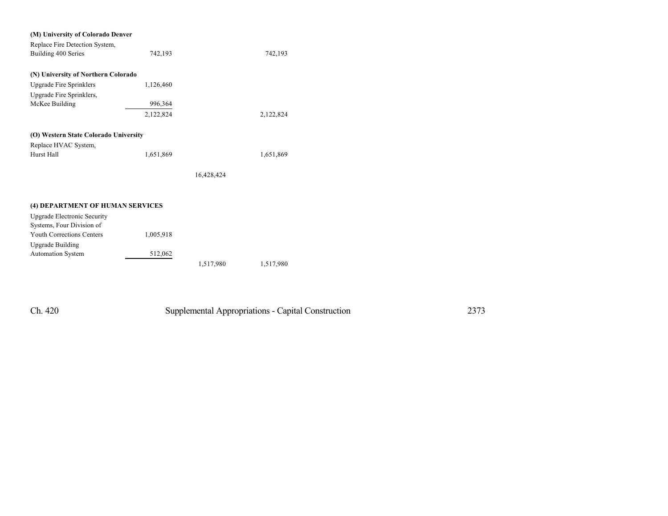| (M) University of Colorado Denver     |           |            |           |
|---------------------------------------|-----------|------------|-----------|
| Replace Fire Detection System,        |           |            |           |
| Building 400 Series                   | 742,193   |            | 742,193   |
|                                       |           |            |           |
| (N) University of Northern Colorado   |           |            |           |
| <b>Upgrade Fire Sprinklers</b>        | 1,126,460 |            |           |
| Upgrade Fire Sprinklers,              |           |            |           |
| McKee Building                        | 996,364   |            |           |
|                                       | 2,122,824 |            | 2,122,824 |
| (O) Western State Colorado University |           |            |           |
| Replace HVAC System,                  |           |            |           |
| Hurst Hall                            | 1,651,869 |            | 1,651,869 |
|                                       |           |            |           |
|                                       |           | 16,428,424 |           |
|                                       |           |            |           |
| (4) DEPARTMENT OF HUMAN SERVICES      |           |            |           |
| <b>Upgrade Electronic Security</b>    |           |            |           |
| Systems, Four Division of             |           |            |           |
| <b>Youth Corrections Centers</b>      | 1,005,918 |            |           |
|                                       |           |            |           |
| <b>Upgrade Building</b>               |           |            |           |
| Automation System                     | 512,062   |            |           |
|                                       |           | 1,517,980  | 1,517,980 |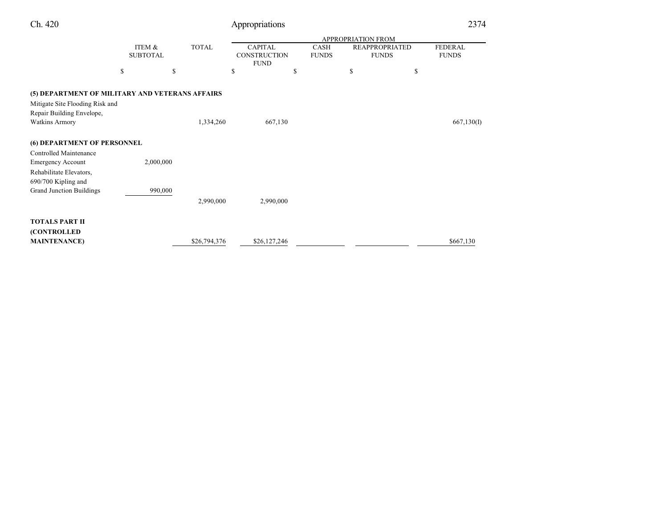| Ch. 420                                                      |                           |              | Appropriations                                       |                      |                                       | 2374                           |
|--------------------------------------------------------------|---------------------------|--------------|------------------------------------------------------|----------------------|---------------------------------------|--------------------------------|
|                                                              |                           |              |                                                      |                      | <b>APPROPRIATION FROM</b>             |                                |
|                                                              | ITEM &<br><b>SUBTOTAL</b> | <b>TOTAL</b> | <b>CAPITAL</b><br><b>CONSTRUCTION</b><br><b>FUND</b> | CASH<br><b>FUNDS</b> | <b>REAPPROPRIATED</b><br><b>FUNDS</b> | <b>FEDERAL</b><br><b>FUNDS</b> |
|                                                              | \$                        | \$           | \$<br>\$                                             |                      | \$                                    | \$                             |
| (5) DEPARTMENT OF MILITARY AND VETERANS AFFAIRS              |                           |              |                                                      |                      |                                       |                                |
| Mitigate Site Flooding Risk and<br>Repair Building Envelope, |                           |              |                                                      |                      |                                       |                                |
| <b>Watkins Armory</b>                                        |                           | 1,334,260    | 667,130                                              |                      |                                       | 667,130(I)                     |
| (6) DEPARTMENT OF PERSONNEL                                  |                           |              |                                                      |                      |                                       |                                |
| Controlled Maintenance                                       |                           |              |                                                      |                      |                                       |                                |
| <b>Emergency Account</b>                                     | 2,000,000                 |              |                                                      |                      |                                       |                                |
| Rehabilitate Elevators,<br>690/700 Kipling and               |                           |              |                                                      |                      |                                       |                                |
| <b>Grand Junction Buildings</b>                              |                           | 990,000      |                                                      |                      |                                       |                                |
|                                                              |                           | 2,990,000    | 2,990,000                                            |                      |                                       |                                |
| <b>TOTALS PART II</b>                                        |                           |              |                                                      |                      |                                       |                                |
| (CONTROLLED                                                  |                           |              |                                                      |                      |                                       |                                |
| <b>MAINTENANCE</b> )                                         |                           | \$26,794,376 | \$26,127,246                                         |                      |                                       | \$667,130                      |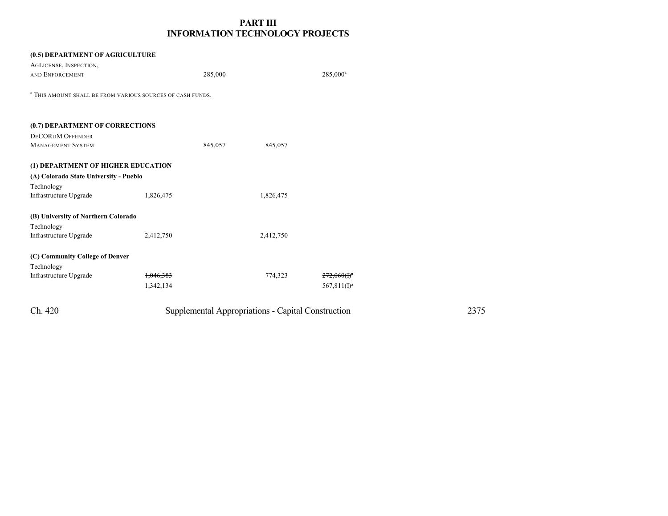# **PART III INFORMATION TECHNOLOGY PROJECTS**

| (0.5) DEPARTMENT OF AGRICULTURE                                       |                      |         |           |                      |
|-----------------------------------------------------------------------|----------------------|---------|-----------|----------------------|
| AGLICENSE, INSPECTION,                                                |                      |         |           |                      |
| AND ENFORCEMENT                                                       |                      | 285,000 |           | 285,000 <sup>a</sup> |
|                                                                       |                      |         |           |                      |
| <sup>a</sup> THIS AMOUNT SHALL BE FROM VARIOUS SOURCES OF CASH FUNDS. |                      |         |           |                      |
|                                                                       |                      |         |           |                      |
| (0.7) DEPARTMENT OF CORRECTIONS                                       |                      |         |           |                      |
| <b>DECORUM OFFENDER</b>                                               |                      |         |           |                      |
| <b>MANAGEMENT SYSTEM</b>                                              |                      | 845,057 | 845,057   |                      |
|                                                                       |                      |         |           |                      |
| (1) DEPARTMENT OF HIGHER EDUCATION                                    |                      |         |           |                      |
| (A) Colorado State University - Pueblo                                |                      |         |           |                      |
| Technology                                                            |                      |         |           |                      |
| Infrastructure Upgrade                                                | 1,826,475            |         | 1,826,475 |                      |
|                                                                       |                      |         |           |                      |
| (B) University of Northern Colorado                                   |                      |         |           |                      |
| Technology                                                            |                      |         |           |                      |
| Infrastructure Upgrade                                                | 2,412,750            |         | 2,412,750 |                      |
|                                                                       |                      |         |           |                      |
| (C) Community College of Denver                                       |                      |         |           |                      |
| Technology                                                            |                      |         |           |                      |
| Infrastructure Upgrade                                                | <del>1,046,383</del> |         | 774,323   | $272,060(f)^n$       |
|                                                                       | 1,342,134            |         |           | $567,811(I)^a$       |
|                                                                       |                      |         |           |                      |
|                                                                       |                      |         |           |                      |

| Ch. 420 | Supplemental Appropriations - Capital Construction | 2375 |
|---------|----------------------------------------------------|------|
|---------|----------------------------------------------------|------|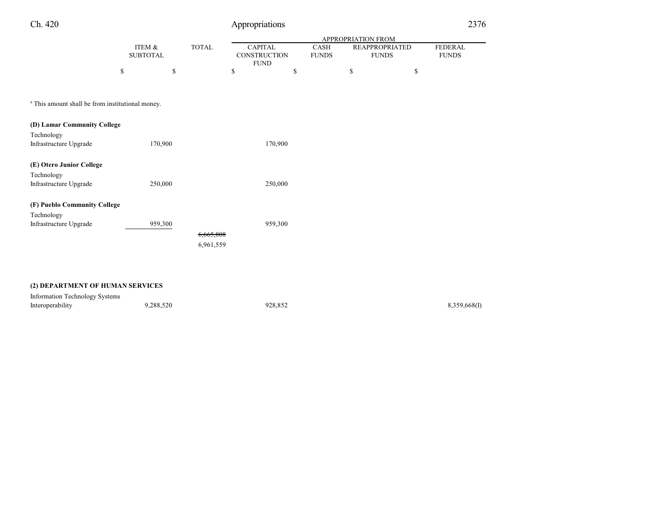# Appropriations 2376

|                                                             |                           |         |              | <b>APPROPRIATION FROM</b>                            |         |                      |    |                                       |                                |
|-------------------------------------------------------------|---------------------------|---------|--------------|------------------------------------------------------|---------|----------------------|----|---------------------------------------|--------------------------------|
|                                                             | ITEM &<br><b>SUBTOTAL</b> |         | <b>TOTAL</b> | <b>CAPITAL</b><br><b>CONSTRUCTION</b><br><b>FUND</b> |         | CASH<br><b>FUNDS</b> |    | <b>REAPPROPRIATED</b><br><b>FUNDS</b> | <b>FEDERAL</b><br><b>FUNDS</b> |
|                                                             | \$                        | \$      |              | \$                                                   | \$      |                      | \$ |                                       | \$                             |
|                                                             |                           |         |              |                                                      |         |                      |    |                                       |                                |
| <sup>a</sup> This amount shall be from institutional money. |                           |         |              |                                                      |         |                      |    |                                       |                                |
| (D) Lamar Community College                                 |                           |         |              |                                                      |         |                      |    |                                       |                                |
| Technology                                                  |                           |         |              |                                                      |         |                      |    |                                       |                                |
| Infrastructure Upgrade                                      |                           | 170,900 |              |                                                      | 170,900 |                      |    |                                       |                                |
| (E) Otero Junior College                                    |                           |         |              |                                                      |         |                      |    |                                       |                                |
| Technology                                                  |                           |         |              |                                                      |         |                      |    |                                       |                                |
| Infrastructure Upgrade                                      |                           | 250,000 |              |                                                      | 250,000 |                      |    |                                       |                                |
| (F) Pueblo Community College                                |                           |         |              |                                                      |         |                      |    |                                       |                                |
| Technology                                                  |                           |         |              |                                                      |         |                      |    |                                       |                                |
| Infrastructure Upgrade                                      |                           | 959,300 |              |                                                      | 959,300 |                      |    |                                       |                                |
|                                                             |                           |         | 6,665,808    |                                                      |         |                      |    |                                       |                                |
|                                                             |                           |         | 6,961,559    |                                                      |         |                      |    |                                       |                                |
|                                                             |                           |         |              |                                                      |         |                      |    |                                       |                                |
|                                                             |                           |         |              |                                                      |         |                      |    |                                       |                                |

### **(2) DEPARTMENT OF HUMAN SERVICES**

| Information Technology Systems |           |         |              |
|--------------------------------|-----------|---------|--------------|
| Interoperability               | 9,288,520 | 928.852 | 8,359,668(I) |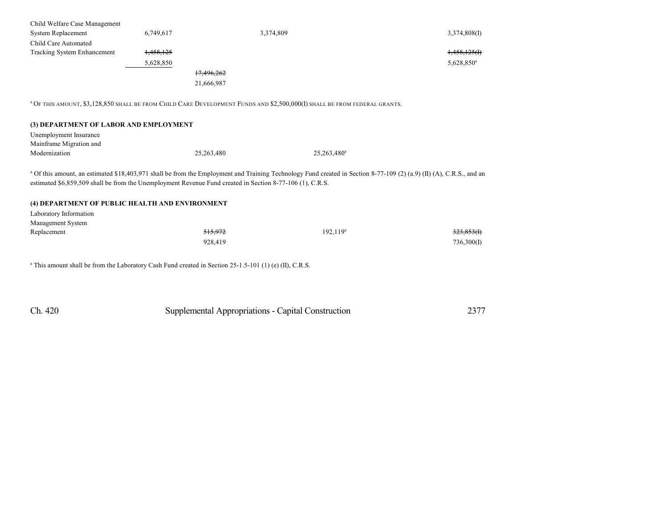| Child Welfare Case Management |                      |            |               |
|-------------------------------|----------------------|------------|---------------|
| System Replacement            | 6,749,617            | 3,374,809  | 3,374,808(I)  |
| Child Care Automated          |                      |            |               |
| Tracking System Enhancement   | <del>1,458,125</del> |            | 1,458,125(f)  |
|                               | 5,628,850            |            | $5,628,850^a$ |
|                               |                      | 17,496,262 |               |
|                               |                      | 21,666,987 |               |

<sup>a</sup> O<sup>F</sup> THIS AMOUNT, \$3,128,850 SHALL BE FROM CHILD CARE DEVELOPMENT FUNDS AND \$2,500,000(I) SHALL BE FROM FEDERAL GRANTS.

Unemployment Insurance Mainframe Migration and Modernization 25,263,480

25,263,480<sup>a</sup>

<sup>a</sup> Of this amount, an estimated \$18,403,971 shall be from the Employment and Training Technology Fund created in Section 8-77-109 (2) (a.9) (II) (A), C.R.S., and an estimated \$6,859,509 shall be from the Unemployment Revenue Fund created in Section 8-77-106 (1), C.R.S.

#### **(4) DEPARTMENT OF PUBLIC HEALTH AND ENVIRONMENT**

Laboratory Information Management System

| Replacement | 515,972 | $192, 119^a$ | <del>323,853(I)</del> |
|-------------|---------|--------------|-----------------------|
|             | 928,419 |              | 736,300(I)            |

a This amount shall be from the Laboratory Cash Fund created in Section 25-1.5-101 (1) (e) (II), C.R.S.

| Ch. 420<br>Supplemental Appropriations - Capital Construction | 2377 |
|---------------------------------------------------------------|------|
|---------------------------------------------------------------|------|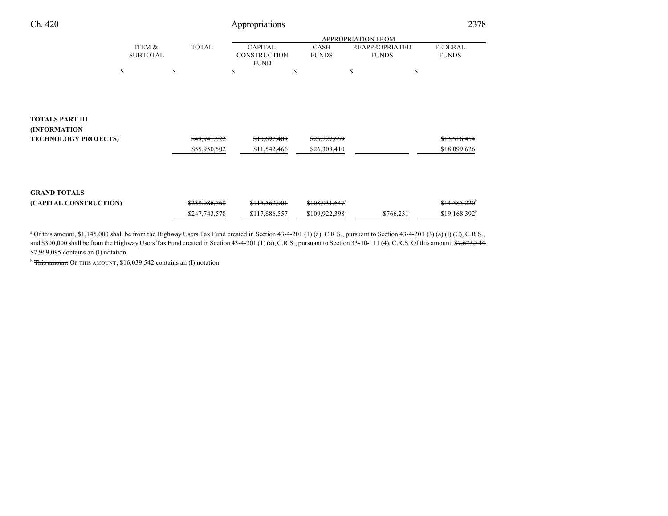| Ch. 420                                                               |                           | 2378          |                                                      |                             |                                       |                                |
|-----------------------------------------------------------------------|---------------------------|---------------|------------------------------------------------------|-----------------------------|---------------------------------------|--------------------------------|
|                                                                       |                           |               |                                                      |                             |                                       |                                |
|                                                                       | ITEM &<br><b>SUBTOTAL</b> | <b>TOTAL</b>  | <b>CAPITAL</b><br><b>CONSTRUCTION</b><br><b>FUND</b> | <b>CASH</b><br><b>FUNDS</b> | <b>REAPPROPRIATED</b><br><b>FUNDS</b> | <b>FEDERAL</b><br><b>FUNDS</b> |
|                                                                       | \$                        | S.            | \$                                                   | \$                          | \$<br>\$                              |                                |
|                                                                       |                           |               |                                                      |                             |                                       |                                |
| <b>TOTALS PART III</b><br>(INFORMATION<br><b>TECHNOLOGY PROJECTS)</b> |                           | \$49,941,522  | \$10,697,409                                         | \$25,727,659                |                                       | \$13,516,454                   |
|                                                                       |                           | \$55,950,502  | \$11,542,466                                         | \$26,308,410                |                                       | \$18,099,626                   |
| <b>GRAND TOTALS</b>                                                   |                           |               |                                                      |                             |                                       |                                |
| (CAPITAL CONSTRUCTION)                                                |                           | \$239,086,768 | \$115,569,901                                        | \$108,931,647 <sup>a</sup>  |                                       | \$14,585,220 <sup>b</sup>      |
|                                                                       |                           | \$247,743,578 | \$117,886,557                                        | \$109,922,398 <sup>a</sup>  | \$766,231                             | $$19,168,392^b$                |

<sup>a</sup> Of this amount, \$1,145,000 shall be from the Highway Users Tax Fund created in Section 43-4-201 (1) (a), C.R.S., pursuant to Section 43-4-201 (3) (a) (I) (C), C.R.S., and \$300,000 shall be from the Highway Users Tax Fund created in Section 43-4-201 (1) (a), C.R.S., pursuant to Section 33-10-111 (4), C.R.S. Of this amount,  $\frac{67,673,344}{7,673,344}$ \$7,969,095 contains an (I) notation.

<sup>b</sup> This amount OF THIS AMOUNT, \$16,039,542 contains an (I) notation.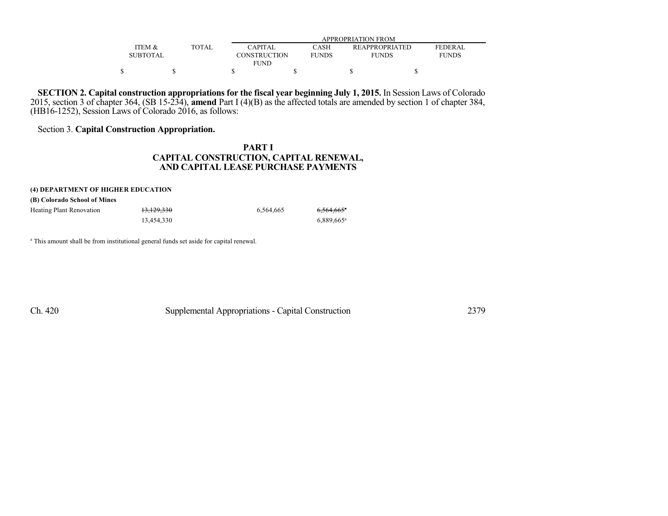|          |              | APPROPRIATION FROM  |              |                       |              |  |  |  |
|----------|--------------|---------------------|--------------|-----------------------|--------------|--|--|--|
| ITEM &   | <b>TOTAL</b> | <b>CAPITAL</b>      | CASH         | <b>REAPPROPRIATED</b> | FEDERAL      |  |  |  |
| SUBTOTAL |              | <b>CONSTRUCTION</b> | <b>FUNDS</b> | <b>FUNDS</b>          | <b>FUNDS</b> |  |  |  |
|          |              | <b>FUND</b>         |              |                       |              |  |  |  |
|          |              |                     |              |                       |              |  |  |  |

**SECTION 2. Capital construction appropriations for the fiscal year beginning July 1, 2015.** In Session Laws of Colorado 2015, section 3 of chapter 364, (SB 15-234), **amend** Part I (4)(B) as the affected totals are amended by section 1 of chapter 384, (HB16-1252), Session Laws of Colorado 2016, as follows:

### Section 3. **Capital Construction Appropriation.**

# **PART I CAPITAL CONSTRUCTION, CAPITAL RENEWAL, AND CAPITAL LEASE PURCHASE PAYMENTS**

#### **(4) DEPARTMENT OF HIGHER EDUCATION**

|  | (B) Colorado School of Mines |  |  |  |
|--|------------------------------|--|--|--|
|--|------------------------------|--|--|--|

| <b>Heating Plant Renovation</b> | <del>13,129,330</del> | 6.564.665 | $6,564,665$ <sup>*</sup> |
|---------------------------------|-----------------------|-----------|--------------------------|
|                                 | 13.454.330            |           | $6.889.665$ <sup>a</sup> |

<sup>a</sup> This amount shall be from institutional general funds set aside for capital renewal.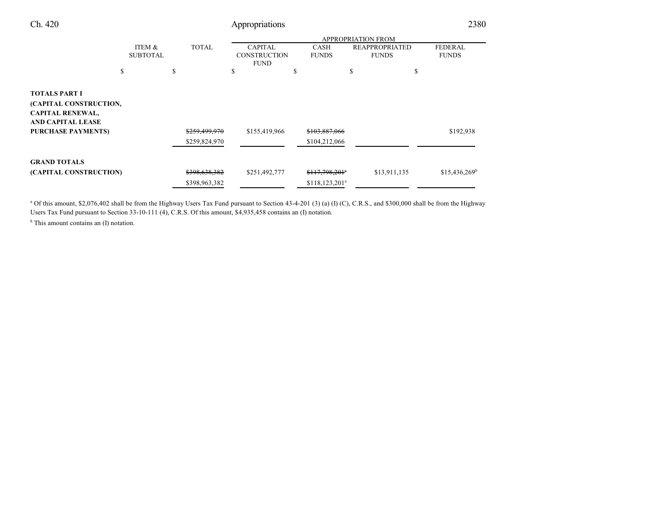| Ch. 420                                                                                        |                           | 2380                           |                                                      |                                                             |                                       |                                |
|------------------------------------------------------------------------------------------------|---------------------------|--------------------------------|------------------------------------------------------|-------------------------------------------------------------|---------------------------------------|--------------------------------|
|                                                                                                |                           |                                |                                                      |                                                             |                                       |                                |
|                                                                                                | ITEM &<br><b>SUBTOTAL</b> | <b>TOTAL</b>                   | <b>CAPITAL</b><br><b>CONSTRUCTION</b><br><b>FUND</b> | <b>CASH</b><br><b>FUNDS</b>                                 | <b>REAPPROPRIATED</b><br><b>FUNDS</b> | <b>FEDERAL</b><br><b>FUNDS</b> |
|                                                                                                | \$                        | S                              | \$                                                   | S                                                           | \$                                    | \$                             |
| <b>TOTALS PART I</b><br>(CAPITAL CONSTRUCTION,<br><b>CAPITAL RENEWAL,</b><br>AND CAPITAL LEASE |                           |                                |                                                      |                                                             |                                       |                                |
| <b>PURCHASE PAYMENTS)</b>                                                                      |                           | \$259,499,970<br>\$259,824,970 | \$155,419,966                                        | \$103,887,066<br>\$104,212,066                              |                                       | \$192,938                      |
| <b>GRAND TOTALS</b>                                                                            |                           |                                |                                                      |                                                             |                                       |                                |
| (CAPITAL CONSTRUCTION)                                                                         |                           | \$398,638,382<br>\$398,963,382 | \$251,492,777                                        | $$117,798,201$ <sup>a</sup><br>\$118, 123, 201 <sup>a</sup> | \$13,911,135                          | $$15,436,269^b$                |

<sup>a</sup> Of this amount, \$2,076,402 shall be from the Highway Users Tax Fund pursuant to Section 43-4-201 (3) (a) (I) (C), C.R.S., and \$300,000 shall be from the Highway Users Tax Fund pursuant to Section 33-10-111 (4), C.R.S. Of this amount, \$4,935,458 contains an (I) notation.

<sup>b</sup> This amount contains an (I) notation.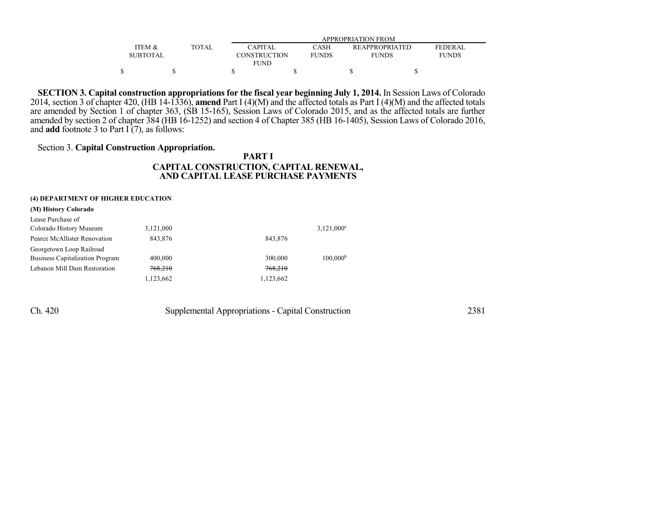|                   |              | APPROPRIATION FROM  |              |                       |              |  |  |
|-------------------|--------------|---------------------|--------------|-----------------------|--------------|--|--|
| <b>ITEM &amp;</b> | <b>TOTAL</b> | <b>CAPITAL</b>      | CASH         | <b>REAPPROPRIATED</b> | FEDER AL     |  |  |
| SUBTOTAL          |              | <b>CONSTRUCTION</b> | <b>FUNDS</b> | <b>FUNDS</b>          | <b>FUNDS</b> |  |  |
|                   |              | <b>FUND</b>         |              |                       |              |  |  |
|                   |              |                     |              |                       |              |  |  |

**SECTION 3. Capital construction appropriations for the fiscal year beginning July 1, 2014.** In Session Laws of Colorado 2014, section 3 of chapter 420, (HB 14-1336), **amend** Part I (4)(M) and the affected totals as Part I (4)(M) and the affected totals are amended by Section 1 of chapter 363, (SB 15-165), Session Laws of Colorado 2015, and as the affected totals are further amended by section 2 of chapter 384 (HB 16-1252) and section 4 of Chapter 385 (HB 16-1405), Session Laws of Colorado 2016, and **add** footnote 3 to Part I (7), as follows:

## Section 3. **Capital Construction Appropriation.**

## **PART I CAPITAL CONSTRUCTION, CAPITAL RENEWAL, AND CAPITAL LEASE PURCHASE PAYMENTS**

#### **(4) DEPARTMENT OF HIGHER EDUCATION**

| (M) History Colorado                   |           |           |                      |
|----------------------------------------|-----------|-----------|----------------------|
| Lease Purchase of                      |           |           |                      |
| Colorado History Museum                | 3,121,000 |           | $3,121,000^a$        |
| Pearce McAllister Renovation           | 843.876   | 843.876   |                      |
| Georgetown Loop Railroad               |           |           |                      |
| <b>Business Capitalization Program</b> | 400,000   | 300,000   | 100.000 <sup>b</sup> |
| Lebanon Mill Dam Restoration           | 768,210   | 768,210   |                      |
|                                        | 1,123,662 | 1,123,662 |                      |
|                                        |           |           |                      |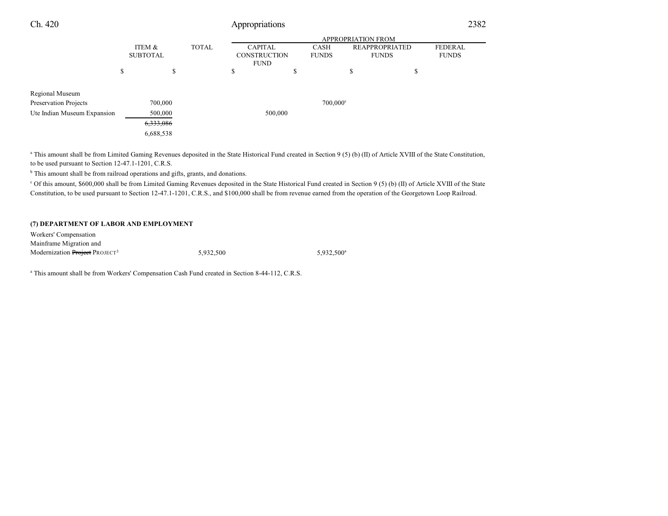| Ch. 420                                                          |                           |                           | Appropriations |         |                                                      |                      | 2382                                  |                                |  |
|------------------------------------------------------------------|---------------------------|---------------------------|----------------|---------|------------------------------------------------------|----------------------|---------------------------------------|--------------------------------|--|
|                                                                  | <b>APPROPRIATION FROM</b> |                           |                |         |                                                      |                      |                                       |                                |  |
|                                                                  |                           | ITEM &<br><b>SUBTOTAL</b> | <b>TOTAL</b>   |         | <b>CAPITAL</b><br><b>CONSTRUCTION</b><br><b>FUND</b> | CASH<br><b>FUNDS</b> | <b>REAPPROPRIATED</b><br><b>FUNDS</b> | <b>FEDERAL</b><br><b>FUNDS</b> |  |
|                                                                  | \$                        | \$                        |                | \$      | \$                                                   |                      | \$                                    | \$                             |  |
| Regional Museum<br>Preservation Projects                         |                           | 700,000                   |                |         |                                                      | $700,000^{\circ}$    |                                       |                                |  |
| Ute Indian Museum Expansion<br>500,000<br>6,333,086<br>6,688,538 |                           |                           |                | 500,000 |                                                      |                      |                                       |                                |  |
|                                                                  |                           |                           |                |         |                                                      |                      |                                       |                                |  |

<sup>a</sup> This amount shall be from Limited Gaming Revenues deposited in the State Historical Fund created in Section 9 (5) (b) (II) of Article XVIII of the State Constitution, to be used pursuant to Section 12-47.1-1201, C.R.S.

<sup>b</sup> This amount shall be from railroad operations and gifts, grants, and donations.

<sup>c</sup> Of this amount, \$600,000 shall be from Limited Gaming Revenues deposited in the State Historical Fund created in Section 9 (5) (b) (II) of Article XVIII of the State Constitution, to be used pursuant to Section 12-47.1-1201, C.R.S., and \$100,000 shall be from revenue earned from the operation of the Georgetown Loop Railroad.

#### **(7) DEPARTMENT OF LABOR AND EMPLOYMENT**

Workers' Compensation Mainframe Migration and Modernization Project PROJECT<sup>3</sup> 5,932,500 5,932,500<sup>a</sup>

<sup>a</sup> This amount shall be from Workers' Compensation Cash Fund created in Section 8-44-112, C.R.S.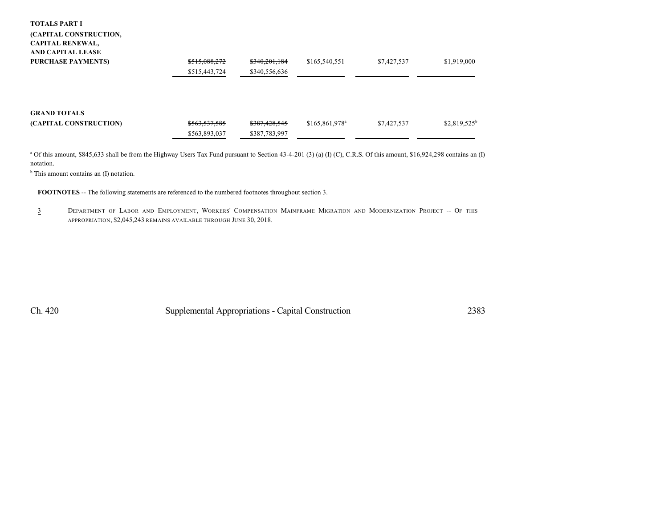#### **TOTALS PART I**

### **(CAPITAL CONSTRUCTION, CAPITAL RENEWAL, AND CAPITAL LEASE**

| <b>PURCHASE PAYMENTS)</b> | \$515,088,272                  | \$340,201,184                  | \$165,540,551    | \$7,427,537 | \$1,919,000    |
|---------------------------|--------------------------------|--------------------------------|------------------|-------------|----------------|
|                           | \$515,443,724                  | \$340,556,636                  |                  |             |                |
| <b>GRAND TOTALS</b>       |                                |                                |                  |             |                |
| (CAPITAL CONSTRUCTION)    | \$563,537,585<br>\$563,893,037 | \$387,428,545<br>\$387,783,997 | $$165,861,978^a$ | \$7,427,537 | $$2,819,525^b$ |
|                           |                                |                                |                  |             |                |

 $^{\text{a}}$  Of this amount, \$845,633 shall be from the Highway Users Tax Fund pursuant to Section 43-4-201 (3) (a) (I) (C), C.R.S. Of this amount, \$16,924,298 contains an (I) notation.

<sup>b</sup> This amount contains an (I) notation.

**FOOTNOTES** -- The following statements are referenced to the numbered footnotes throughout section 3.

3 DEPARTMENT OF LABOR AND EMPLOYMENT, WORKERS' COMPENSATION MAINFRAME MIGRATION AND MODERNIZATION PROJECT -- OF THIS APPROPRIATION, \$2,045,243 REMAINS AVAILABLE THROUGH JUNE 30, 2018.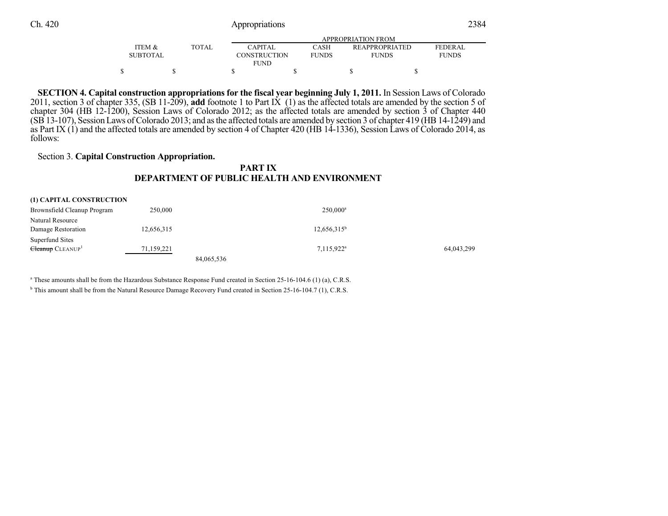# Ch. 420 Appropriations

|--|

|                   |              |                     | APPROPRIATION FROM |                       |                |
|-------------------|--------------|---------------------|--------------------|-----------------------|----------------|
| <b>ITEM &amp;</b> | <b>TOTAL</b> | <b>CAPITAL</b>      | CASH               | <b>REAPPROPRIATED</b> | <b>FEDERAL</b> |
| <b>SUBTOTAL</b>   |              | <b>CONSTRUCTION</b> | <b>FUNDS</b>       | <b>FUNDS</b>          | <b>FUNDS</b>   |
|                   |              | <b>FUND</b>         |                    |                       |                |
|                   |              |                     |                    |                       |                |

**SECTION 4. Capital construction appropriations for the fiscal year beginning July 1, 2011.** In Session Laws of Colorado 2011, section 3 of chapter 335, (SB 11-209), **add** footnote 1 to Part IX (1) as the affected totals are amended by the section 5 of chapter 304 (HB 12-1200), Session Laws of Colorado 2012; as the affected totals are amended by section 3 of Chapter 440  $(SB13-107)$ , Session Laws of Colorado 2013; and as the affected totals are amended by section 3 of chapter 419 (HB 14-1249) and as Part IX  $(1)$  and the affected totals are amended by section 4 of Chapter 420 (HB 14-1336), Session Laws of Colorado 2014, as follows:

### Section 3. **Capital Construction Appropriation.**

## **PART IX DEPARTMENT OF PUBLIC HEALTH AND ENVIRONMENT**

| (1) CAPITAL CONSTRUCTION     |            |            |                |            |
|------------------------------|------------|------------|----------------|------------|
| Brownsfield Cleanup Program  | 250,000    |            | $250.000^a$    |            |
| Natural Resource             |            |            |                |            |
| Damage Restoration           | 12,656,315 |            | $12,656,315^b$ |            |
| Superfund Sites              |            |            |                |            |
| Cleanup CLEANUP <sup>1</sup> | 71,159,221 |            | $7,115,922^a$  | 64,043,299 |
|                              |            | 84,065,536 |                |            |

a These amounts shall be from the Hazardous Substance Response Fund created in Section 25-16-104.6 (1) (a), C.R.S.

<sup>b</sup> This amount shall be from the Natural Resource Damage Recovery Fund created in Section 25-16-104.7 (1), C.R.S.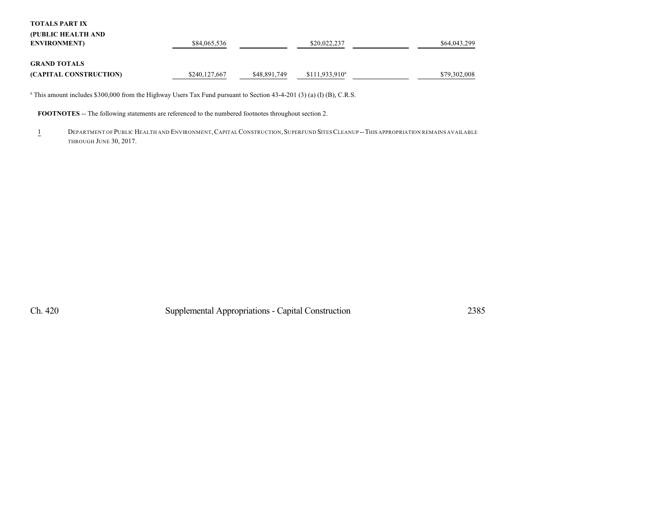**TOTALS PART IX**

| (PUBLIC HEALTH AND<br><b>ENVIRONMENT</b>      | \$84,065,536  |              | \$20,022,237     | \$64,043,299 |
|-----------------------------------------------|---------------|--------------|------------------|--------------|
| <b>GRAND TOTALS</b><br>(CAPITAL CONSTRUCTION) | \$240,127,667 | \$48,891,749 | $$111,933,910^a$ | \$79,302,008 |

a This amount includes \$300,000 from the Highway Users Tax Fund pursuant to Section 43-4-201 (3) (a) (I) (B), C.R.S.

**FOOTNOTES** -- The following statements are referenced to the numbered footnotes throughout section 2.

1 DEPARTMENT OF PUBLIC HEALTH AND ENVIRONMENT, CAPITAL CONSTRUCTION, SUPERFUND SITES CLEANUP -- THIS APPROPRIATION REMAINS AVAILABLE THROUGH JUNE 30, 2017.